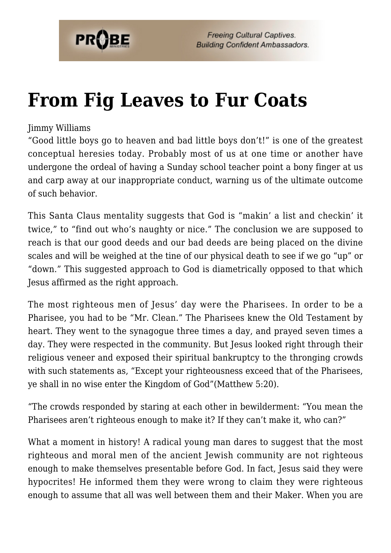

# **[From Fig Leaves to Fur Coats](https://probe.org/from-fig-leaves-to-fur-coats/)**

#### Jimmy Williams

"Good little boys go to heaven and bad little boys don't!" is one of the greatest conceptual heresies today. Probably most of us at one time or another have undergone the ordeal of having a Sunday school teacher point a bony finger at us and carp away at our inappropriate conduct, warning us of the ultimate outcome of such behavior.

This Santa Claus mentality suggests that God is "makin' a list and checkin' it twice," to "find out who's naughty or nice." The conclusion we are supposed to reach is that our good deeds and our bad deeds are being placed on the divine scales and will be weighed at the tine of our physical death to see if we go "up" or "down." This suggested approach to God is diametrically opposed to that which Jesus affirmed as the right approach.

The most righteous men of Jesus' day were the Pharisees. In order to be a Pharisee, you had to be "Mr. Clean." The Pharisees knew the Old Testament by heart. They went to the synagogue three times a day, and prayed seven times a day. They were respected in the community. But Jesus looked right through their religious veneer and exposed their spiritual bankruptcy to the thronging crowds with such statements as, "Except your righteousness exceed that of the Pharisees, ye shall in no wise enter the Kingdom of God"(Matthew 5:20).

"The crowds responded by staring at each other in bewilderment: "You mean the Pharisees aren't righteous enough to make it? If they can't make it, who can?"

What a moment in history! A radical young man dares to suggest that the most righteous and moral men of the ancient Jewish community are not righteous enough to make themselves presentable before God. In fact, Jesus said they were hypocrites! He informed them they were wrong to claim they were righteous enough to assume that all was well between them and their Maker. When you are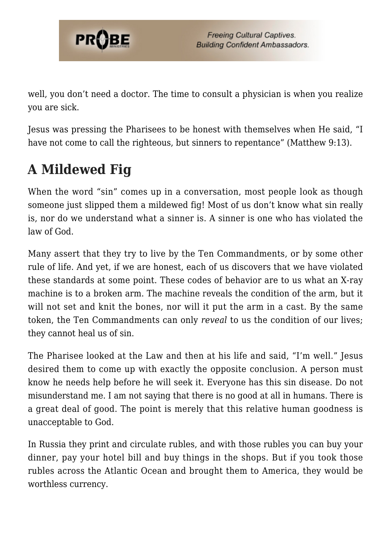

well, you don't need a doctor. The time to consult a physician is when you realize you are sick.

Jesus was pressing the Pharisees to be honest with themselves when He said, "I have not come to call the righteous, but sinners to repentance" (Matthew 9:13).

# **A Mildewed Fig**

When the word "sin" comes up in a conversation, most people look as though someone just slipped them a mildewed fig! Most of us don't know what sin really is, nor do we understand what a sinner is. A sinner is one who has violated the law of God.

Many assert that they try to live by the Ten Commandments, or by some other rule of life. And yet, if we are honest, each of us discovers that we have violated these standards at some point. These codes of behavior are to us what an X-ray machine is to a broken arm. The machine reveals the condition of the arm, but it will not set and knit the bones, nor will it put the arm in a cast. By the same token, the Ten Commandments can only *reveal* to us the condition of our lives; they cannot heal us of sin.

The Pharisee looked at the Law and then at his life and said, "I'm well." Jesus desired them to come up with exactly the opposite conclusion. A person must know he needs help before he will seek it. Everyone has this sin disease. Do not misunderstand me. I am not saying that there is no good at all in humans. There is a great deal of good. The point is merely that this relative human goodness is unacceptable to God.

In Russia they print and circulate rubles, and with those rubles you can buy your dinner, pay your hotel bill and buy things in the shops. But if you took those rubles across the Atlantic Ocean and brought them to America, they would be worthless currency.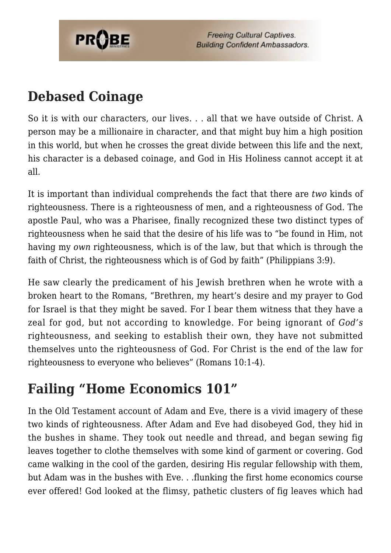

**Freeing Cultural Captives. Building Confident Ambassadors.** 

### **Debased Coinage**

So it is with our characters, our lives. . . all that we have outside of Christ. A person may be a millionaire in character, and that might buy him a high position in this world, but when he crosses the great divide between this life and the next, his character is a debased coinage, and God in His Holiness cannot accept it at all.

It is important than individual comprehends the fact that there are *two* kinds of righteousness. There is a righteousness of men, and a righteousness of God. The apostle Paul, who was a Pharisee, finally recognized these two distinct types of righteousness when he said that the desire of his life was to "be found in Him, not having my *own* righteousness, which is of the law, but that which is through the faith of Christ, the righteousness which is of God by faith" (Philippians 3:9).

He saw clearly the predicament of his Jewish brethren when he wrote with a broken heart to the Romans, "Brethren, my heart's desire and my prayer to God for Israel is that they might be saved. For I bear them witness that they have a zeal for god, but not according to knowledge. For being ignorant of *God's* righteousness, and seeking to establish their own, they have not submitted themselves unto the righteousness of God. For Christ is the end of the law for righteousness to everyone who believes" (Romans 10:1-4).

## **Failing "Home Economics 101"**

In the Old Testament account of Adam and Eve, there is a vivid imagery of these two kinds of righteousness. After Adam and Eve had disobeyed God, they hid in the bushes in shame. They took out needle and thread, and began sewing fig leaves together to clothe themselves with some kind of garment or covering. God came walking in the cool of the garden, desiring His regular fellowship with them, but Adam was in the bushes with Eve. . .flunking the first home economics course ever offered! God looked at the flimsy, pathetic clusters of fig leaves which had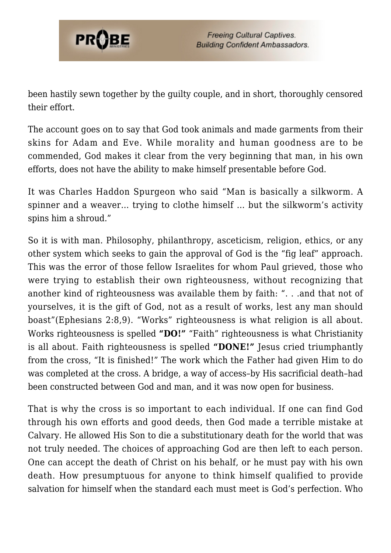

been hastily sewn together by the guilty couple, and in short, thoroughly censored their effort.

The account goes on to say that God took animals and made garments from their skins for Adam and Eve. While morality and human goodness are to be commended, God makes it clear from the very beginning that man, in his own efforts, does not have the ability to make himself presentable before God.

It was Charles Haddon Spurgeon who said "Man is basically a silkworm. A spinner and a weaver… trying to clothe himself … but the silkworm's activity spins him a shroud."

So it is with man. Philosophy, philanthropy, asceticism, religion, ethics, or any other system which seeks to gain the approval of God is the "fig leaf" approach. This was the error of those fellow Israelites for whom Paul grieved, those who were trying to establish their own righteousness, without recognizing that another kind of righteousness was available them by faith: ". . .and that not of yourselves, it is the gift of God, not as a result of works, lest any man should boast"(Ephesians 2:8,9). "Works" righteousness is what religion is all about. Works righteousness is spelled **"DO!"** "Faith" righteousness is what Christianity is all about. Faith righteousness is spelled **"DONE!"** Jesus cried triumphantly from the cross, "It is finished!" The work which the Father had given Him to do was completed at the cross. A bridge, a way of access–by His sacrificial death–had been constructed between God and man, and it was now open for business.

That is why the cross is so important to each individual. If one can find God through his own efforts and good deeds, then God made a terrible mistake at Calvary. He allowed His Son to die a substitutionary death for the world that was not truly needed. The choices of approaching God are then left to each person. One can accept the death of Christ on his behalf, or he must pay with his own death. How presumptuous for anyone to think himself qualified to provide salvation for himself when the standard each must meet is God's perfection. Who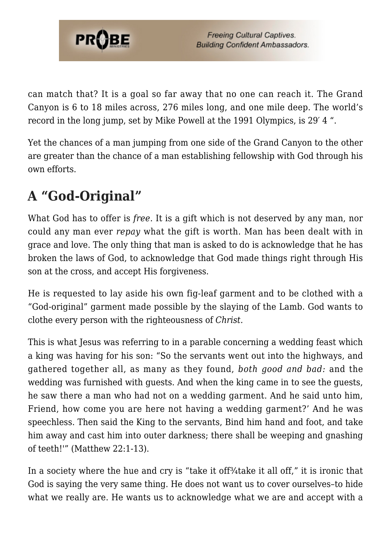

can match that? It is a goal so far away that no one can reach it. The Grand Canyon is 6 to 18 miles across, 276 miles long, and one mile deep. The world's record in the long jump, set by Mike Powell at the 1991 Olympics, is 29′ 4 ".

Yet the chances of a man jumping from one side of the Grand Canyon to the other are greater than the chance of a man establishing fellowship with God through his own efforts.

# **A "God-Original"**

What God has to offer is *free*. It is a gift which is not deserved by any man, nor could any man ever *repay* what the gift is worth. Man has been dealt with in grace and love. The only thing that man is asked to do is acknowledge that he has broken the laws of God, to acknowledge that God made things right through His son at the cross, and accept His forgiveness.

He is requested to lay aside his own fig-leaf garment and to be clothed with a "God-original" garment made possible by the slaying of the Lamb. God wants to clothe every person with the righteousness of *Christ.*

This is what Jesus was referring to in a parable concerning a wedding feast which a king was having for his son: "So the servants went out into the highways, and gathered together all, as many as they found, *both good and bad:* and the wedding was furnished with guests. And when the king came in to see the guests, he saw there a man who had not on a wedding garment. And he said unto him, Friend, how come you are here not having a wedding garment?' And he was speechless. Then said the King to the servants, Bind him hand and foot, and take him away and cast him into outer darkness; there shall be weeping and gnashing of teeth!'" (Matthew 22:1-13).

In a society where the hue and cry is "take it off<sup>3</sup>/<sub>4</sub>take it all off," it is ironic that God is saying the very same thing. He does not want us to cover ourselves–to hide what we really are. He wants us to acknowledge what we are and accept with a